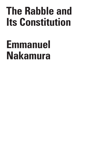# **The Rabble and Its Constitution**

## **Emmanuel Nakamura**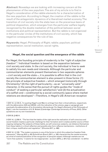**Abstract:** Nowadays we are looking with increasing concern at the phenomenon of the new populism. The aim of my article is to find in Hegel's consideration of the rabble elements for a characterization of the new populism. According to Hegel, the creation of the rabble is the result of the antagonistic dynamics of a liberalized market economy. The transition of civil society into the state lean on the precarious basis of political disposition, which emerges from the particular welfare legally recognized by the double mediation of the political between social institutions and political representation. But the rabble is not organized in the particular circles of the institutions of civil society, which has negative consequences for the rule of law.

**Keywords:** Hegel; Philosophy of Right; rabble; populism; political representation; social institution; social rights.

### **Hegel, the social question and the emergence of the rabble**

For Hegel, the founding principle of modernity is the "right of *subjective freedom*".1 Individual freedom is based on the separation between civil society and state. In the civil society, the individual is free to seek to satisfy his own needs and interests. Although the particular and communitarian elements present themselves in two separate spheres – civil society and the state –, it is possible to affirm that in the civil society the communitarian element is also present in three forms: (1) the principle of subjective freedom – which emerged *historically* through Christianity;<sup>2</sup> (2) the right of particularity  $-$  as an "universally valid" character, in the sense that the pursuit of rights guides the "mode of conduct" of seeking a particular satisfaction;<sup>3</sup> and (3) the actualization of a selfish end – conditioned by a social-community space where market relations are developed.4 – Therefore, in Hegel's US-American reception

2 GW 20, § 482 A.

C R I T I  $\Omega$ U E / Volume 8

C R I S I S &

<sup>1</sup> GW 14,1, § 124 A. I'm quoting Hegel's and Marx's writings from their critical editions, respectively with the abbreviation *GW* and *MEGA,* with the indication of the volume, page or paragraph and eventually the abbreviation *A* for Annotation (*Anmerkung*). For Hegel's *Elements of the Philosophy of Right*, I use the translation of H. B. Nisbet (Cambridge: Cambridge University of Press, 2012). Other quotations are my own translations.

<sup>3</sup> GW 14,1, § 258 A. "The fact that the habits of the right serve the realization of self-conscious and social freedom implies a particular challenge for their formation and it creates another source of their ongoing reshaping: The subjects of these habits, as self-conscious subjects, can distance themselves from these habits in critical reflection and possibly also form reflexive mechanisms – institutions of their critique, modification and regulation." (Khurana 2017, p. 496)

<sup>4</sup> GW 14,1, § 183. "The modern economy is one of the forms in which this subjective freedom finds expression." (Herzog 2013, p. 60) Schmidt am Busch (2011, p. 195) characterizes the market economy as a kind of institutionalization of the recognition of personal respect. Although markets are not "norm-free systems," it seems for me inappropriate – as Zurn (2016, p. 301) has considered – to define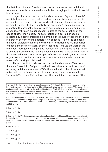the definition of *social freedom* was created in a sense that individual freedoms can only be achieved socially, i.e. through participation in social institutions.<sup>5</sup>

Hegel characterizes the market dynamics as a "system of needs" mediated by work.<sup>6</sup> In the market system, each individual gives out his commodity, the result of his own work, with the aim of acquiring another commodity and, with that, to satisfy his own need.7 Each individual, by alienating the product of his work and seeking to satisfy his "*subjective selfishness*" through exchange, contributes to the satisfaction of the needs of other individuals. The satisfaction of a particular need is mediated by a communitarian element: It is the result of "dependence and reciprocity of work and the satisfaction of needs".8 If, on the one hand, the social division of labor allows the differentiation and multiplication of needs and means of work, on the other hand it makes the work of the individual increasingly simple and mechanical, "so that the human being is eventually able to step aside and let a *machine* take his place."9 Work is the universal means to acquire a part of the social wealth, but the social organization of production itself subtracts from individuals the natural means of acquiring social wealth.<sup>10</sup>

This contradiction shows that the market dynamics offers both the mere "possibility" of participation in social wealth $11$  and the risk of reducing individuals to poverty.12 On the one hand, a liberalized market universalizes the "association of human beings" and increases the "*accumulation of wealth*", but, on the other hand, it also increases "the

6 GW 14,1, § 188.

7 GW 14,1, § 192.

9 GW 14,1, § 198.

10 GW 14,1, § 241.

11 GW 14,1, § 230.

12 GW 14,1, § 241.

them solely by the "moral criteria of social cooperation." Although the common interest presents itself as the result of individual actions, it is not the motive that moves individuals: "The general interest is precisely the generality of the self-seeking interest." (MEGA II,1.1, p. 168) As the social space of expression of subjective freedom and recognition of personal respect, the modern market is guided primarily by the norm principle of subjective particularity.

<sup>5 &</sup>quot;[…] this conception of freedom is particularly difficult to grasp, in part because it is both a freedom that individuals achieve through certain ways of participating in their social institutions and a freedom that can be predicated of those institutions themselves, insofar as they are rational." (Neuhouser 2000, p. 5–6.)

<sup>8</sup> GW 14,1, § 199. "Markets thus take over a task of coordination which could never be accomplished by an individual human being or a government, as 'no human wisdom or knowledge could ever be sufficient' for it. Individuals only need to make judgments about their local situation [...]". (Herzog 2013, p. 32)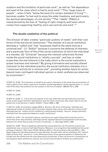*isolation* and the *limitation* of particular work", as well as "the *dependence* and *want* of the class which is tied to such work".13 This "large mass of people" – when it falls "below the level of a certain standard of living"14 – becomes unable "to feel and to enjoy the wider freedoms, and particularly the spiritual advantages, of civil society."15 The "rabble" (*Pöbel*) is characterized by the loss of "feeling of right, integrity and honor which comes from supporting itself by one's own activity and work".16

#### **The double mediation of the political**

The division of labor creates "*particular systems* of needs" with their own forms of life and social institutions.17 The member of a social institution develops a "*selfish* end" that "expresses itself at the same time as a universal end". (1) "*Selfish*" because it concerns the defense of interests and a particular form of life of the social institution of which the individual is a member. (2) "*Universal*" because the interest collectively formed inside the social institutions is "wholly *concrete*", and has no wider scope than the end inherent in the trade which is the social institution's proper business and interest.<sup>18</sup> By giving a formative and socially shared character to the individual practice, the social institution elevates it to a "conscious activity for a common end", providing another basis for action beyond mere contingent individual opinion or static preferences observed by economists.<sup>19</sup>

14 GW 14,1, § 244.

15 GW 14,1, § 243.

16 GW 14,1, § 244. "[…] once men are reduced in this way materially and spiritually they lose their sense of self-respect and their identification with the whole community, they cease really to be integrated into it and become a 'rabble' (Pöbel)." (Taylor 2006, p. 436)

17 GW 14,1, § 201. According to Jaeggi (2018, p. 40 and p. 16), forms of life grasp "attitudes and habitualized modes of conduct with a *normative character* that concern the *collective conduct of life*". Although they are "neither strictly codified nor institutionally binding", they are "always politically instituted from the outset and depend on public institutions."

18 GW 14,1, § 251. "For instituted subjects, institutions are quasi things that furnish the world in which they move: they are there, seemingly eternal, apparent because presupposed by the everyday behaviors for which they provide a horizon of meaning […]". (Kervégan 2018, p. 338)

19 GW 14,1, § 254. "Only by adopting institutionally bound behaviour can the identity of actors be established, even in terms of self-identification. Moreover, it is recognition that establishes the social ontology of identity." (Herrmann-Pillath; Boldyrev 2014, p. 101) According to Herzog (2015, p. 155), Hegel makes the individual preferences and identities, formed within social institutions, the "explicit object of theorizing", and this is "a very different process of how general patterns of behaviour are brought into the market than the ones observed by economists. It does not arise as a consequence of how people's static preferences interact, but concerns the formation of these very preferences".

I S & C R I T I  $\Omega$ U E / Volume 8

Issue 2

C R I S

<sup>13</sup> GW 14,1, § 243. "Accumulation of wealth at one pole is, therefore, at the same time accumulation of misery, agony of toil, slavery, ignorance, brutality, mental degradation, at the opposite pole, i.e., on the side of the class that produces its own product in the form of capital." (MEGA II,9: p. 559)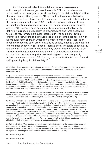A civil society divided into social institutions possesses an antidote against the emergence of the rabble.<sup>20</sup> This occurs because social institutions reorganize the ethical body of the civil society, creating the following positive dynamics: (1) by conditioning a moral behavior, created by the free interaction of its members, the social institution limits the exercise of market power; $21$  (2) it institutionalizes particular forms of social identity and recognition, e.g. the recognition of a professional activity; $22$  (3) because each social institution forms a collective with definitely purposes, civil society is organized and anchored according to collectively formed particular interests; (4) the social institution promotes a "structure of distributed cognition";<sup>23</sup> (5) the connection with a particular form of life, in which the members of the social institution meet and recognize each other mutually as equals, leads to a stabilization of consumer behavior; $24$  (6) in social institutions a "principle of sociability and solidarity" is concretely developed by presenting themselves as an "antidote to the atomised individualism of a competitive commercial society" and counteracting the "external-negative results of purely private economic activities";<sup>25</sup> (7) every social institution is thus a "moral self-governing body in civil society."<sup>26</sup>

20 "In short, Hegel saw corporations inside his system of ethical life structured in such a way that people are protected from becoming rabble, commoners, or a mob which Hegel termed *Pöbel*." (Klikauer 2016, p. 21)

21 "[...] *social freedom* means the completion of individual freedom in the context of particular communities which provide the institutional and material conditions to express personal and moral freedom". (Herrmann-Pillath; Boldyrev 2014, p. 157) At this point, it seems to me superfluous to fall back on Adam Smith's idea of an impartial spectator and inner judge in order to build a bridge between abstract morality and ethical convictions, as if Hegel could only manage this "by positing the formation of ethics or ethical habits as a transformational process in which external expectations of behavior become relatively stable automatisms." (Honneth 2018, p. 209)

22 "What is recognized in these social roles is the ability to contribute something useful to the social whole, but also the particular abilities of individuals; the recognition also comprises, in a sense, their decision to chose this kind of profession, and hence their free will." (Herzog 2013, p. 78)

23 Herrmann-Pillath; Boldyrev 2014, p. 165. A civil society that is not organized in social institutions – i.e. that is "split up into individual atomic units" (cf. GW 14,1, § 308) – is exposed to problems such as populism. It is no accident that this one is treated as a "cognitive problem": "Its supporters are supposed to be people who demand 'simple solutions' because they do not understand the necessarily complex solutions that are so indefatigably and successfully delivered by the tried and tested forces of internationalism". (Streeck 2017, p. 392) The polarization between "ordinary people" and an "economically powerful", "culturally arrogant" cosmopolitan elite, thematized by Streeck, considers only a superficial aspect of the problem. Because it is not enough – like the "new protectionists" (or populists) want – to return politics to the "ordinary people." Rather, individuals must once again be able to form their own particular interests in independent social institutions.

24 GW 14,1, § 253 A. "One function of Hegel's corporation is to stabilize the consumption behavior of its members. In Hegel's view, the fulfillment of this function is important, among other things, because it opens up the possibility that the members of a corporation meet and recognize each other as equals in a consumptive sense as well." (Schmidt am Busch 2011, p. 226)

25 Klikauer 2016, p. 141.

26 Klikauer 2016, p. 141.

260 The Rabble and Its Constitution

I T I  $\Omega$ U E /

C R I S I S & C R

Volume 8 Issue 2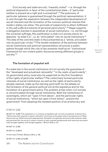Civil society and state are *only* "inwardly united" – i.e. through the political disposition in favor of the constitutional state – *if* "particular welfare is present as a right and is actualized".<sup>27</sup> The autonomy of particular spheres is guaranteed through the political representation: it is only through the separation between the independent development of social interests and the formation of the common political interest that modern states can allow "the principle of subjectivity to attain fulfilment in the *self-sufficient extreme* of personal particularity".<sup>28</sup> Hegel supports a delegation elected in assemblies of social institutions – i.e. not through the universal suffrage. His justification is that civil society elects its deputies "*as what it is*", i.e. as "articulated" into its social institutions.29 The idea of the concrete state is thus presented as a "*whole*, *articulated into its particular circles*."30 The double mediation of the political between social institutions and political representation structures a public sphere through which the rule of law presents itself as an "institutional framework for non-violent public discourse among different groups in society."31

I S I S & C R I T I Q U E / Volume 8 Issue 2

C R

#### **The formation of populist will**

If a state has in the social institutions of civil society the guarantee of the "developed and actualized rationality" "in the realm *of particularity*", its government policy must also be supported on the firm foundation of the rights of particular welfare.<sup>32</sup> The collectively formed particular interests of social institutions, as well as the rights of particularity already realized, make up the starting point both for the debate on the formation of the general political will at the legislative and for the formation of a government policy. The problem arises when civil society is not articulated through social institutions. Both the institutions of sovereignty, which act "upon it from above", and the particular rights of social institutions, "which act upon it from below", prevent the government "from adopting the isolated position of an aristocracy and

27 GW 14,1, § 255.

28 GW 14,1, § 260. This separation is in a sense compatible with current conceptions of democracy: "Democracy also requires a robust cultivation of society as the place where we experience a linked fate across our differences and separateness. Situated conceptually and practically between state and personal life, the social is where citizens of vasty unequal backgrounds and resources are potentially brought together and thought together." (Brown 2019, p. 27)

29 GW 14,1, § 308.

30 GW 14,1, § 308 A.

31 Herrmann-Pillath; Boldyrev 2014, p. 163.

32 GW 14,1, § 265 and § 289.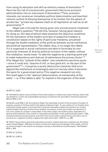from using its education and skill as arbitrary means of domination."<sup>33</sup> Here lies the risk of a technocratic government that turns economic administration into an instrument of domination.<sup>34</sup>Thus, economic interests can receive an immediate political determination and lose their rational content of allowing themselves to be limited into the sphere of private law: "private law imposes itself on all legislation as well as on all governments."35

Hegel was criticized for having given only socioeconomic treatment to the rabble's question.<sup>36</sup> He did this, however, having good reasons for doing so. His idea of ethical state presents the objective conditions for the realization of the modern principle of subjective freedom: a constitution based on the rights of particular freedoms, actualized through the double mediation of the political between social institutions and political representation. The rabble, thus, is no longer the rabble if it is organized in social institutions and able to formulate its own particular interests. A directly political inclusion of the rabble, without this mediation, would mean "to take the negative as a starting-point and to make malevolence and distrust of malevolence the primary factor".37 If for Hegel this "outlook of the rabble" was outside the executive power – since it could only "assume ill will, or less good will, on the part of the government"38 –, it acquires a purely destructive character that turns against the institutions of sovereignty and civil society when it becomes the basis for a government policy. This negative viewpoint can only find itself again in the "abstract determination of membership of the state" – i.e. if the rabble is able "to implant in the organism of the state

#### R I S I S & C R I T I  $\Omega$ U E / Volume 8 Issue 2

C

#### 33 GW 14,1, § 297.

34 "Ordoliberal states cannot embrace citizen participation or democratic power sharing; rather, they are shaped by 'a clear and unassailable expression of political will' grounded in technical expertise." (Brown 2019, p. 81)

35 Dardot; Laval 2016, p. 53. According to Hegel, the reasonable content of the principle of freedom of property consists in limiting itself to the sphere of abstract right: "A new system of civil freedom thus entered the feudal system, a principle that contained reasonable freedom according to its content, indeed freedom that has a limited sense, freedom of property, of skill and of what is produced by it, but in this sphere its content is reasonable. In the other system, the feudal system, dependence is general and accidental, if the content is reasonable and justified. In this system [feudal system – EN], everything became private property, even that which, by its nature, should not be, and which, once it becomes so, is against morality or against the right of the state". (GW 27,1, p. 439)

36 "While I have tried to show that a genuinely economic problem becomes a political one, the philosopher himself [Hegel – EN] does not seem to share this reasoning: The danger of the rabble, of which he warns at length in the section on bourgeois society, is banished by the philosopher." (Schildbach 2018, p. 193)

37 GW 14,1, § 272 A.

38 GW 14,1, § 301 A.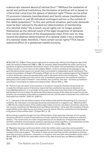a *democratic* element *devoid of rational form*".39 Without the mediation of social and political institutions, the formation of political will is based on criteria that come from the sphere of abstract right.<sup>40</sup> These can be either (1) economic interests (neoliberalism) and family values (neoliberalism and populism) or just (2) individual contingent opinion or the outlook of the rabble (populism).<sup>41</sup> In this new political situation, particular demands must be then reduced to the abstract determination of membership of a national state.42 As a result, social rights can no longer present themselves as the rational result of the legal recognition of demands from social institutions of the dispossessed class. From now on, they receive the abstract determination of a national state: I am a member of a national state; therefore, I have certain social rights.<sup>43</sup> This has an explosive effect on a globalized market economy.

/ Volume 8 Issue 2

C R I S I S & C R I T I  $\Omega$ U E

. . . . . . . . . 39 See GW 14,1, § 308 A. These words might point to a democratic deficit of the Hegelian idea of the state. According to Habermas (1990, p. 199), for example, Hegel disqualifies the public opinion as a guarantor of agreement between the political reason of the public and parliamentary discussion. My interest, however, is not to return to this debate. Rather, I want to reinterpret this passage to suggest that democracies need a civil society that is articulated in independent social institutions. This revised interpretation of Hegel's Philosophy of Right can be critically employed against that *Zeitgeist* in which democratic values are paradoxically used to dismantle democratic institutions: "This is the central paradox, perhaps even the central ruse, of neoliberal governance: the neoliberal revolution takes place in the name of freedom – free markets, free countries, free men – but tears up freedom's grounding in sovereignty for states and subjects alike." (Brown 2015, p. 108)

40 "That is to say, the nature of the situation in an elective monarchy whereby the particular will is made the ultimate source of decisions means that the constitution becomes an electoral contract [*Wahlkapitulation*], i.e. a surrender of the power of the state at the discretion of the particular [*partikularen*] will; as a result, the particular [*besonderen*] powers of the state are turned into private property, the sovereignty of the state is weakened and lost, and the state is dissolved from within and destroyed from without." (GW 14,1, § 281 A.)

41 "[…] because of the de-collectivization of the welfare state and the dismantling of its reserves of solidarity, the individual is increasingly becoming individualized in a negative way." (Nachtwey 2017, p. 324) The de-collectivization of the welfare state makes economic calculation and family values the new sources of political will: Neoliberalism and Neoconservatism "seize upon the necessity of family responsibility as the ideal source of economic security and an effective counterforce to the demoralizing powers of the welfare state." (Cooper 2017, p. 73)

42 According to populist thought, the free differentiation of the particular interests of civil society should be reduced to a chain of equivalences of empty signifiers that remain related to a collective identity: "The construction of a chain of equivalences out of a dispersion of fragmented demands, and their unification around popular positions operating as empty signifiers, is not totalitarian but the very condition for the construction of a collective will […]". (Laclau 2005, p. 166)

43 "Migration becomes a political problem where the welfare state is generous and accessible." (Manow 2019, p. 19) The only way to argue against this current political situation is to insist on the importance of the social sphere: "The social is where we are more than private individuals or families, more than economic producers, consumers, or investors, and more than mere members of the nation." (Brown 2019, p. 27–8) On the reasonable content of the idea of social law, see Nakamura (2018, p. 83–102).